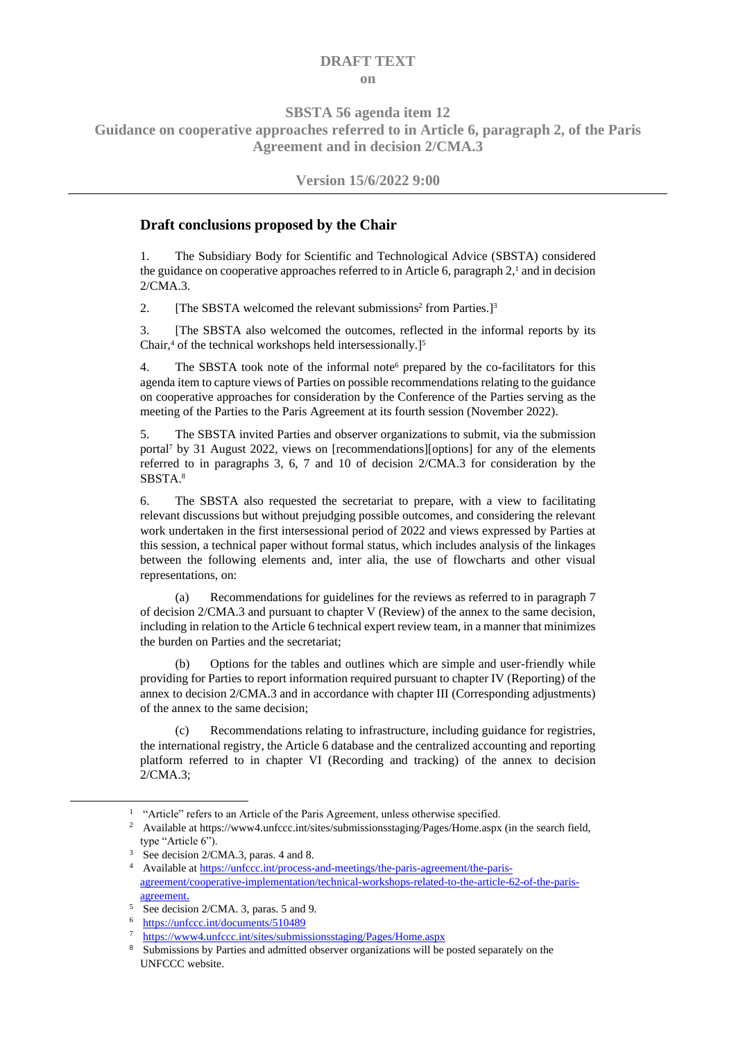## **DRAFT TEXT on**

**SBSTA 56 agenda item 12**

**Guidance on cooperative approaches referred to in Article 6, paragraph 2, of the Paris Agreement and in decision 2/CMA.3**

## **Version 15/6/2022 9:00**

## **Draft conclusions proposed by the Chair**

1. The Subsidiary Body for Scientific and Technological Advice (SBSTA) considered the guidance on cooperative approaches referred to in Article 6, paragraph  $2<sup>1</sup>$  and in decision 2/CMA.3.

2. [The SBSTA welcomed the relevant submissions<sup>2</sup> from Parties.]<sup>3</sup>

3. [The SBSTA also welcomed the outcomes, reflected in the informal reports by its Chair,<sup>4</sup> of the technical workshops held intersessionally.]<sup>5</sup>

4. The SBSTA took note of the informal note<sup>6</sup> prepared by the co-facilitators for this agenda item to capture views of Parties on possible recommendations relating to the guidance on cooperative approaches for consideration by the Conference of the Parties serving as the meeting of the Parties to the Paris Agreement at its fourth session (November 2022).

5. The SBSTA invited Parties and observer organizations to submit, via the submission portal<sup>7</sup> by 31 August 2022, views on [recommendations][options] for any of the elements referred to in paragraphs 3, 6, 7 and 10 of decision 2/CMA.3 for consideration by the SBSTA. 8

6. The SBSTA also requested the secretariat to prepare, with a view to facilitating relevant discussions but without prejudging possible outcomes, and considering the relevant work undertaken in the first intersessional period of 2022 and views expressed by Parties at this session, a technical paper without formal status, which includes analysis of the linkages between the following elements and, inter alia, the use of flowcharts and other visual representations, on:

(a) Recommendations for guidelines for the reviews as referred to in paragraph 7 of decision 2/CMA.3 and pursuant to chapter V (Review) of the annex to the same decision, including in relation to the Article 6 technical expert review team, in a manner that minimizes the burden on Parties and the secretariat;

(b) Options for the tables and outlines which are simple and user-friendly while providing for Parties to report information required pursuant to chapter IV (Reporting) of the annex to decision 2/CMA.3 and in accordance with chapter III (Corresponding adjustments) of the annex to the same decision;

(c) Recommendations relating to infrastructure, including guidance for registries, the international registry, the Article 6 database and the centralized accounting and reporting platform referred to in chapter VI (Recording and tracking) of the annex to decision 2/CMA.3;

<sup>&</sup>lt;sup>1</sup> "Article" refers to an Article of the Paris Agreement, unless otherwise specified.

<sup>&</sup>lt;sup>2</sup> Available at https://www4.unfccc.int/sites/submissionsstaging/Pages/Home.aspx (in the search field, type "Article 6").

<sup>&</sup>lt;sup>3</sup> See decision 2/CMA.3, paras. 4 and 8.

<sup>4</sup> Available a[t https://unfccc.int/process-and-meetings/the-paris-agreement/the-paris](https://unfccc.int/process-and-meetings/the-paris-agreement/the-paris-agreement/cooperative-implementation/technical-workshops-related-to-the-article-62-of-the-paris-agreement)[agreement/cooperative-implementation/technical-workshops-related-to-the-article-62-of-the-paris](https://unfccc.int/process-and-meetings/the-paris-agreement/the-paris-agreement/cooperative-implementation/technical-workshops-related-to-the-article-62-of-the-paris-agreement)[agreement](https://unfccc.int/process-and-meetings/the-paris-agreement/the-paris-agreement/cooperative-implementation/technical-workshops-related-to-the-article-62-of-the-paris-agreement).

<sup>5</sup> See decision 2/CMA. 3, paras. 5 and 9.

<sup>6</sup> <https://unfccc.int/documents/510489>

<sup>7</sup> <https://www4.unfccc.int/sites/submissionsstaging/Pages/Home.aspx>

<sup>&</sup>lt;sup>8</sup> Submissions by Parties and admitted observer organizations will be posted separately on the UNFCCC website.